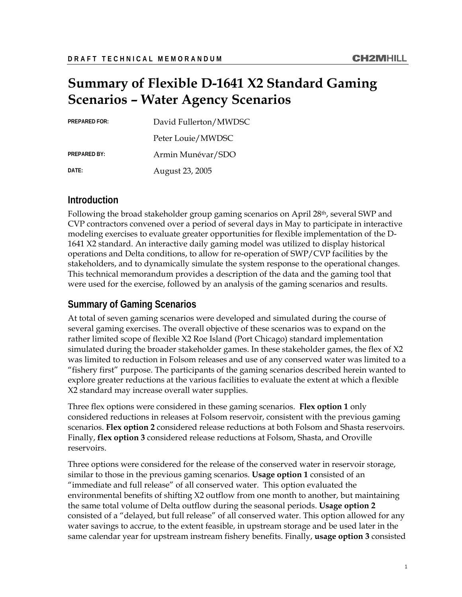# **Summary of Flexible D-1641 X2 Standard Gaming Scenarios – Water Agency Scenarios**

| <b>PREPARED FOR:</b> | David Fullerton/MWDSC |
|----------------------|-----------------------|
|                      | Peter Louie/MWDSC     |
| <b>PREPARED BY:</b>  | Armin Munévar/SDO     |
| DATE:                | August 23, 2005       |

### **Introduction**

Following the broad stakeholder group gaming scenarios on April 28th, several SWP and CVP contractors convened over a period of several days in May to participate in interactive modeling exercises to evaluate greater opportunities for flexible implementation of the D-1641 X2 standard. An interactive daily gaming model was utilized to display historical operations and Delta conditions, to allow for re-operation of SWP/CVP facilities by the stakeholders, and to dynamically simulate the system response to the operational changes. This technical memorandum provides a description of the data and the gaming tool that were used for the exercise, followed by an analysis of the gaming scenarios and results.

## **Summary of Gaming Scenarios**

At total of seven gaming scenarios were developed and simulated during the course of several gaming exercises. The overall objective of these scenarios was to expand on the rather limited scope of flexible X2 Roe Island (Port Chicago) standard implementation simulated during the broader stakeholder games. In these stakeholder games, the flex of X2 was limited to reduction in Folsom releases and use of any conserved water was limited to a "fishery first" purpose. The participants of the gaming scenarios described herein wanted to explore greater reductions at the various facilities to evaluate the extent at which a flexible X2 standard may increase overall water supplies.

Three flex options were considered in these gaming scenarios. **Flex option 1** only considered reductions in releases at Folsom reservoir, consistent with the previous gaming scenarios. **Flex option 2** considered release reductions at both Folsom and Shasta reservoirs. Finally, **flex option 3** considered release reductions at Folsom, Shasta, and Oroville reservoirs.

Three options were considered for the release of the conserved water in reservoir storage, similar to those in the previous gaming scenarios. **Usage option 1** consisted of an "immediate and full release" of all conserved water. This option evaluated the environmental benefits of shifting X2 outflow from one month to another, but maintaining the same total volume of Delta outflow during the seasonal periods. **Usage option 2** consisted of a "delayed, but full release" of all conserved water. This option allowed for any water savings to accrue, to the extent feasible, in upstream storage and be used later in the same calendar year for upstream instream fishery benefits. Finally, **usage option 3** consisted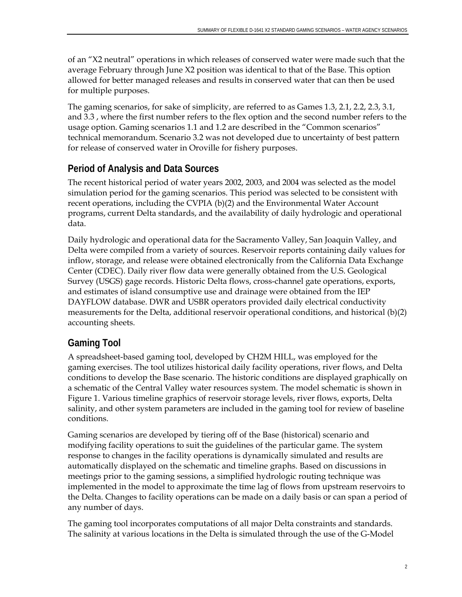of an "X2 neutral" operations in which releases of conserved water were made such that the average February through June X2 position was identical to that of the Base. This option allowed for better managed releases and results in conserved water that can then be used for multiple purposes.

The gaming scenarios, for sake of simplicity, are referred to as Games 1.3, 2.1, 2.2, 2.3, 3.1, and 3.3 , where the first number refers to the flex option and the second number refers to the usage option. Gaming scenarios 1.1 and 1.2 are described in the "Common scenarios" technical memorandum. Scenario 3.2 was not developed due to uncertainty of best pattern for release of conserved water in Oroville for fishery purposes.

## **Period of Analysis and Data Sources**

The recent historical period of water years 2002, 2003, and 2004 was selected as the model simulation period for the gaming scenarios. This period was selected to be consistent with recent operations, including the CVPIA (b)(2) and the Environmental Water Account programs, current Delta standards, and the availability of daily hydrologic and operational data.

Daily hydrologic and operational data for the Sacramento Valley, San Joaquin Valley, and Delta were compiled from a variety of sources. Reservoir reports containing daily values for inflow, storage, and release were obtained electronically from the California Data Exchange Center (CDEC). Daily river flow data were generally obtained from the U.S. Geological Survey (USGS) gage records. Historic Delta flows, cross-channel gate operations, exports, and estimates of island consumptive use and drainage were obtained from the IEP DAYFLOW database. DWR and USBR operators provided daily electrical conductivity measurements for the Delta, additional reservoir operational conditions, and historical (b)(2) accounting sheets.

## **Gaming Tool**

A spreadsheet-based gaming tool, developed by CH2M HILL, was employed for the gaming exercises. The tool utilizes historical daily facility operations, river flows, and Delta conditions to develop the Base scenario. The historic conditions are displayed graphically on a schematic of the Central Valley water resources system. The model schematic is shown in Figure 1. Various timeline graphics of reservoir storage levels, river flows, exports, Delta salinity, and other system parameters are included in the gaming tool for review of baseline conditions.

Gaming scenarios are developed by tiering off of the Base (historical) scenario and modifying facility operations to suit the guidelines of the particular game. The system response to changes in the facility operations is dynamically simulated and results are automatically displayed on the schematic and timeline graphs. Based on discussions in meetings prior to the gaming sessions, a simplified hydrologic routing technique was implemented in the model to approximate the time lag of flows from upstream reservoirs to the Delta. Changes to facility operations can be made on a daily basis or can span a period of any number of days.

The gaming tool incorporates computations of all major Delta constraints and standards. The salinity at various locations in the Delta is simulated through the use of the G-Model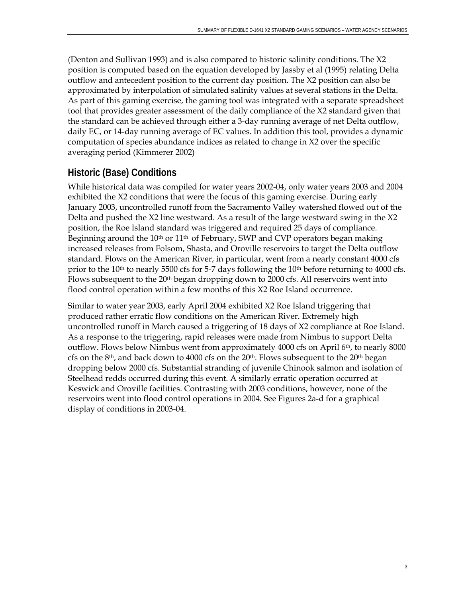(Denton and Sullivan 1993) and is also compared to historic salinity conditions. The X2 position is computed based on the equation developed by Jassby et al (1995) relating Delta outflow and antecedent position to the current day position. The X2 position can also be approximated by interpolation of simulated salinity values at several stations in the Delta. As part of this gaming exercise, the gaming tool was integrated with a separate spreadsheet tool that provides greater assessment of the daily compliance of the X2 standard given that the standard can be achieved through either a 3-day running average of net Delta outflow, daily EC, or 14-day running average of EC values. In addition this tool, provides a dynamic computation of species abundance indices as related to change in X2 over the specific averaging period (Kimmerer 2002)

## **Historic (Base) Conditions**

While historical data was compiled for water years 2002-04, only water years 2003 and 2004 exhibited the X2 conditions that were the focus of this gaming exercise. During early January 2003, uncontrolled runoff from the Sacramento Valley watershed flowed out of the Delta and pushed the X2 line westward. As a result of the large westward swing in the X2 position, the Roe Island standard was triggered and required 25 days of compliance. Beginning around the 10<sup>th</sup> or 11<sup>th</sup> of February, SWP and CVP operators began making increased releases from Folsom, Shasta, and Oroville reservoirs to target the Delta outflow standard. Flows on the American River, in particular, went from a nearly constant 4000 cfs prior to the 10<sup>th</sup> to nearly 5500 cfs for 5-7 days following the 10<sup>th</sup> before returning to 4000 cfs. Flows subsequent to the  $20<sup>th</sup>$  began dropping down to 2000 cfs. All reservoirs went into flood control operation within a few months of this X2 Roe Island occurrence.

Similar to water year 2003, early April 2004 exhibited X2 Roe Island triggering that produced rather erratic flow conditions on the American River. Extremely high uncontrolled runoff in March caused a triggering of 18 days of X2 compliance at Roe Island. As a response to the triggering, rapid releases were made from Nimbus to support Delta outflow. Flows below Nimbus went from approximately 4000 cfs on April 6th, to nearly 8000 cfs on the 8<sup>th</sup>, and back down to 4000 cfs on the  $20<sup>th</sup>$ . Flows subsequent to the  $20<sup>th</sup>$  began dropping below 2000 cfs. Substantial stranding of juvenile Chinook salmon and isolation of Steelhead redds occurred during this event. A similarly erratic operation occurred at Keswick and Oroville facilities. Contrasting with 2003 conditions, however, none of the reservoirs went into flood control operations in 2004. See Figures 2a-d for a graphical display of conditions in 2003-04.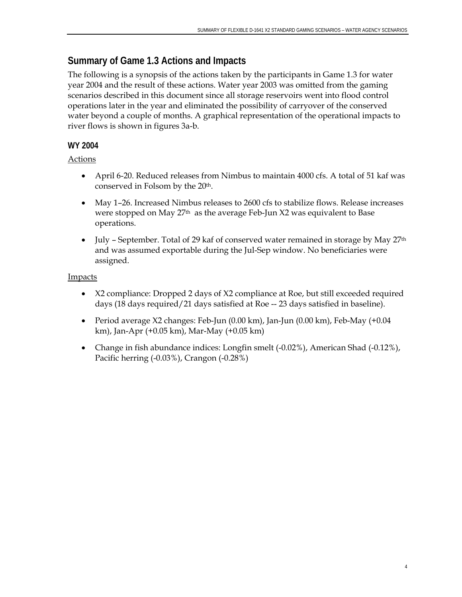## **Summary of Game 1.3 Actions and Impacts**

The following is a synopsis of the actions taken by the participants in Game 1.3 for water year 2004 and the result of these actions. Water year 2003 was omitted from the gaming scenarios described in this document since all storage reservoirs went into flood control operations later in the year and eliminated the possibility of carryover of the conserved water beyond a couple of months. A graphical representation of the operational impacts to river flows is shown in figures 3a-b.

### **WY 2004**

### Actions

- April 6-20. Reduced releases from Nimbus to maintain 4000 cfs. A total of 51 kaf was conserved in Folsom by the 20th.
- May 1–26. Increased Nimbus releases to 2600 cfs to stabilize flows. Release increases were stopped on May 27th as the average Feb-Jun X2 was equivalent to Base operations.
- July September. Total of 29 kaf of conserved water remained in storage by May 27<sup>th</sup> and was assumed exportable during the Jul-Sep window. No beneficiaries were assigned.

- X2 compliance: Dropped 2 days of X2 compliance at Roe, but still exceeded required days (18 days required/21 days satisfied at Roe -- 23 days satisfied in baseline).
- Period average X2 changes: Feb-Jun (0.00 km), Jan-Jun (0.00 km), Feb-May (+0.04 km), Jan-Apr (+0.05 km), Mar-May (+0.05 km)
- Change in fish abundance indices: Longfin smelt (-0.02%), American Shad (-0.12%), Pacific herring (-0.03%), Crangon (-0.28%)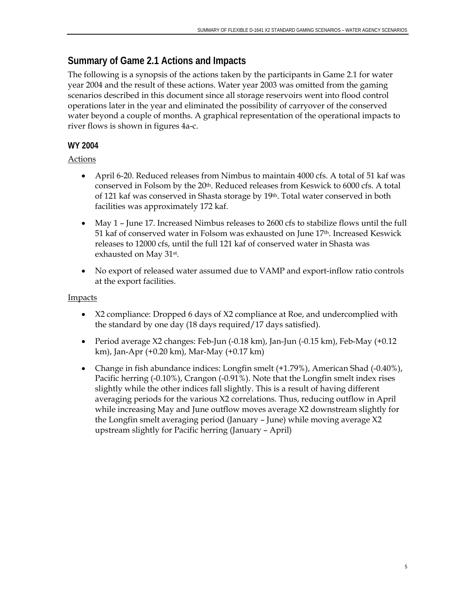## **Summary of Game 2.1 Actions and Impacts**

The following is a synopsis of the actions taken by the participants in Game 2.1 for water year 2004 and the result of these actions. Water year 2003 was omitted from the gaming scenarios described in this document since all storage reservoirs went into flood control operations later in the year and eliminated the possibility of carryover of the conserved water beyond a couple of months. A graphical representation of the operational impacts to river flows is shown in figures 4a-c.

### **WY 2004**

### Actions

- April 6-20. Reduced releases from Nimbus to maintain 4000 cfs. A total of 51 kaf was conserved in Folsom by the 20th. Reduced releases from Keswick to 6000 cfs. A total of 121 kaf was conserved in Shasta storage by 19th. Total water conserved in both facilities was approximately 172 kaf.
- May 1 June 17. Increased Nimbus releases to 2600 cfs to stabilize flows until the full 51 kaf of conserved water in Folsom was exhausted on June 17th. Increased Keswick releases to 12000 cfs, until the full 121 kaf of conserved water in Shasta was exhausted on May 31st.
- No export of released water assumed due to VAMP and export-inflow ratio controls at the export facilities.

- X2 compliance: Dropped 6 days of X2 compliance at Roe, and undercomplied with the standard by one day (18 days required/17 days satisfied).
- Period average X2 changes: Feb-Jun (-0.18 km), Jan-Jun (-0.15 km), Feb-May (+0.12 km), Jan-Apr (+0.20 km), Mar-May (+0.17 km)
- Change in fish abundance indices: Longfin smelt (+1.79%), American Shad (-0.40%), Pacific herring (-0.10%), Crangon (-0.91%). Note that the Longfin smelt index rises slightly while the other indices fall slightly. This is a result of having different averaging periods for the various X2 correlations. Thus, reducing outflow in April while increasing May and June outflow moves average X2 downstream slightly for the Longfin smelt averaging period (January – June) while moving average X2 upstream slightly for Pacific herring (January – April)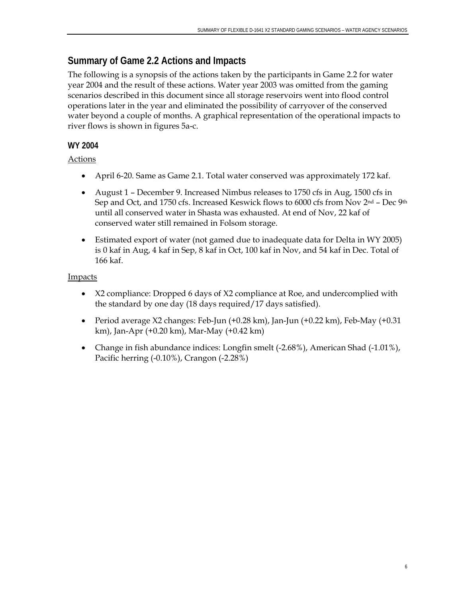## **Summary of Game 2.2 Actions and Impacts**

The following is a synopsis of the actions taken by the participants in Game 2.2 for water year 2004 and the result of these actions. Water year 2003 was omitted from the gaming scenarios described in this document since all storage reservoirs went into flood control operations later in the year and eliminated the possibility of carryover of the conserved water beyond a couple of months. A graphical representation of the operational impacts to river flows is shown in figures 5a-c.

### **WY 2004**

### Actions

- April 6-20. Same as Game 2.1. Total water conserved was approximately 172 kaf.
- August 1 December 9. Increased Nimbus releases to 1750 cfs in Aug, 1500 cfs in Sep and Oct, and 1750 cfs. Increased Keswick flows to 6000 cfs from Nov 2nd – Dec 9th until all conserved water in Shasta was exhausted. At end of Nov, 22 kaf of conserved water still remained in Folsom storage.
- Estimated export of water (not gamed due to inadequate data for Delta in WY 2005) is 0 kaf in Aug, 4 kaf in Sep, 8 kaf in Oct, 100 kaf in Nov, and 54 kaf in Dec. Total of 166 kaf.

- X2 compliance: Dropped 6 days of X2 compliance at Roe, and undercomplied with the standard by one day (18 days required/17 days satisfied).
- Period average X2 changes: Feb-Jun (+0.28 km), Jan-Jun (+0.22 km), Feb-May (+0.31 km), Jan-Apr (+0.20 km), Mar-May (+0.42 km)
- Change in fish abundance indices: Longfin smelt (-2.68%), American Shad (-1.01%), Pacific herring (-0.10%), Crangon (-2.28%)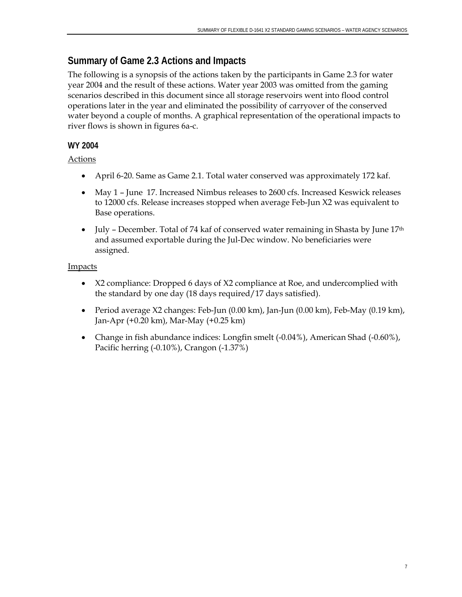## **Summary of Game 2.3 Actions and Impacts**

The following is a synopsis of the actions taken by the participants in Game 2.3 for water year 2004 and the result of these actions. Water year 2003 was omitted from the gaming scenarios described in this document since all storage reservoirs went into flood control operations later in the year and eliminated the possibility of carryover of the conserved water beyond a couple of months. A graphical representation of the operational impacts to river flows is shown in figures 6a-c.

### **WY 2004**

### Actions

- April 6-20. Same as Game 2.1. Total water conserved was approximately 172 kaf.
- May 1 June 17. Increased Nimbus releases to 2600 cfs. Increased Keswick releases to 12000 cfs. Release increases stopped when average Feb-Jun X2 was equivalent to Base operations.
- July December. Total of 74 kaf of conserved water remaining in Shasta by June  $17<sup>th</sup>$ and assumed exportable during the Jul-Dec window. No beneficiaries were assigned.

- X2 compliance: Dropped 6 days of X2 compliance at Roe, and undercomplied with the standard by one day (18 days required/17 days satisfied).
- Period average X2 changes: Feb-Jun (0.00 km), Jan-Jun (0.00 km), Feb-May (0.19 km), Jan-Apr (+0.20 km), Mar-May (+0.25 km)
- Change in fish abundance indices: Longfin smelt (-0.04%), American Shad (-0.60%), Pacific herring (-0.10%), Crangon (-1.37%)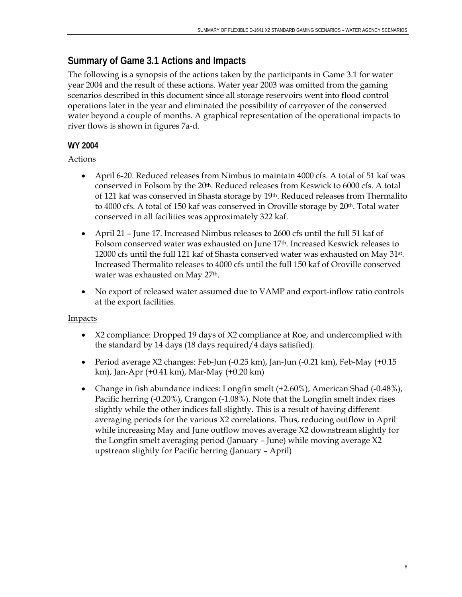## **Summary of Game 3.1 Actions and Impacts**

The following is a synopsis of the actions taken by the participants in Game 3.1 for water year 2004 and the result of these actions. Water year 2003 was omitted from the gaming scenarios described in this document since all storage reservoirs went into flood control operations later in the year and eliminated the possibility of carryover of the conserved water beyond a couple of months. A graphical representation of the operational impacts to river flows is shown in figures 7a-d.

### **WY 2004**

### Actions

- April 6-20. Reduced releases from Nimbus to maintain 4000 cfs. A total of 51 kaf was conserved in Folsom by the 20th. Reduced releases from Keswick to 6000 cfs. A total of 121 kaf was conserved in Shasta storage by 19th. Reduced releases from Thermalito to 4000 cfs. A total of 150 kaf was conserved in Oroville storage by 20<sup>th</sup>. Total water conserved in all facilities was approximately 322 kaf.
- April 21 June 17. Increased Nimbus releases to 2600 cfs until the full 51 kaf of Folsom conserved water was exhausted on June 17th. Increased Keswick releases to 12000 cfs until the full 121 kaf of Shasta conserved water was exhausted on May 31st. Increased Thermalito releases to 4000 cfs until the full 150 kaf of Oroville conserved water was exhausted on May 27<sup>th</sup>.
- No export of released water assumed due to VAMP and export-inflow ratio controls at the export facilities.

- X2 compliance: Dropped 19 days of X2 compliance at Roe, and undercomplied with the standard by 14 days (18 days required/4 days satisfied).
- Period average X2 changes: Feb-Jun (-0.25 km), Jan-Jun (-0.21 km), Feb-May (+0.15 km), Jan-Apr (+0.41 km), Mar-May (+0.20 km)
- Change in fish abundance indices: Longfin smelt (+2.60%), American Shad (-0.48%), Pacific herring (-0.20%), Crangon (-1.08%). Note that the Longfin smelt index rises slightly while the other indices fall slightly. This is a result of having different averaging periods for the various X2 correlations. Thus, reducing outflow in April while increasing May and June outflow moves average X2 downstream slightly for the Longfin smelt averaging period (January – June) while moving average X2 upstream slightly for Pacific herring (January – April)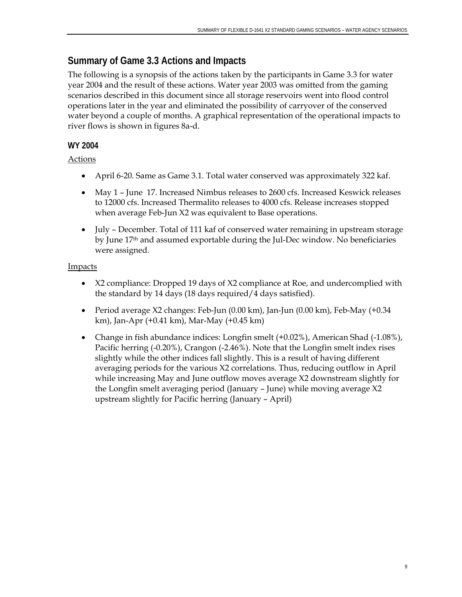## **Summary of Game 3.3 Actions and Impacts**

The following is a synopsis of the actions taken by the participants in Game 3.3 for water year 2004 and the result of these actions. Water year 2003 was omitted from the gaming scenarios described in this document since all storage reservoirs went into flood control operations later in the year and eliminated the possibility of carryover of the conserved water beyond a couple of months. A graphical representation of the operational impacts to river flows is shown in figures 8a-d.

### **WY 2004**

#### Actions

- April 6-20. Same as Game 3.1. Total water conserved was approximately 322 kaf.
- May 1 June 17. Increased Nimbus releases to 2600 cfs. Increased Keswick releases to 12000 cfs. Increased Thermalito releases to 4000 cfs. Release increases stopped when average Feb-Jun X2 was equivalent to Base operations.
- July December. Total of 111 kaf of conserved water remaining in upstream storage by June 17th and assumed exportable during the Jul-Dec window. No beneficiaries were assigned.

- X2 compliance: Dropped 19 days of X2 compliance at Roe, and undercomplied with the standard by 14 days (18 days required/4 days satisfied).
- Period average X2 changes: Feb-Jun (0.00 km), Jan-Jun (0.00 km), Feb-May (+0.34 km), Jan-Apr (+0.41 km), Mar-May (+0.45 km)
- Change in fish abundance indices: Longfin smelt (+0.02%), American Shad (-1.08%), Pacific herring (-0.20%), Crangon (-2.46%). Note that the Longfin smelt index rises slightly while the other indices fall slightly. This is a result of having different averaging periods for the various X2 correlations. Thus, reducing outflow in April while increasing May and June outflow moves average X2 downstream slightly for the Longfin smelt averaging period (January – June) while moving average X2 upstream slightly for Pacific herring (January – April)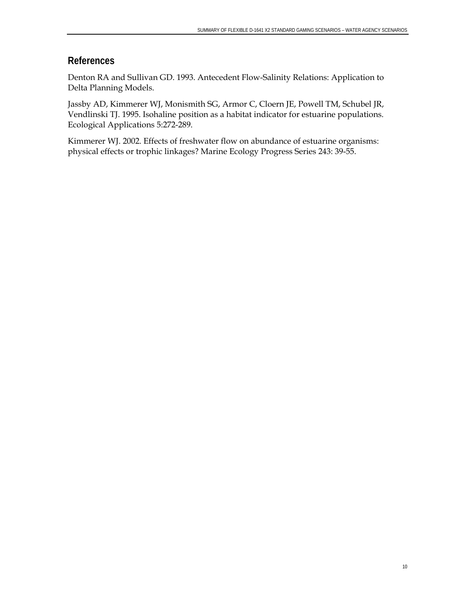### **References**

Denton RA and Sullivan GD. 1993. Antecedent Flow-Salinity Relations: Application to Delta Planning Models.

Jassby AD, Kimmerer WJ, Monismith SG, Armor C, Cloern JE, Powell TM, Schubel JR, Vendlinski TJ. 1995. Isohaline position as a habitat indicator for estuarine populations. Ecological Applications 5:272-289.

Kimmerer WJ. 2002. Effects of freshwater flow on abundance of estuarine organisms: physical effects or trophic linkages? Marine Ecology Progress Series 243: 39-55.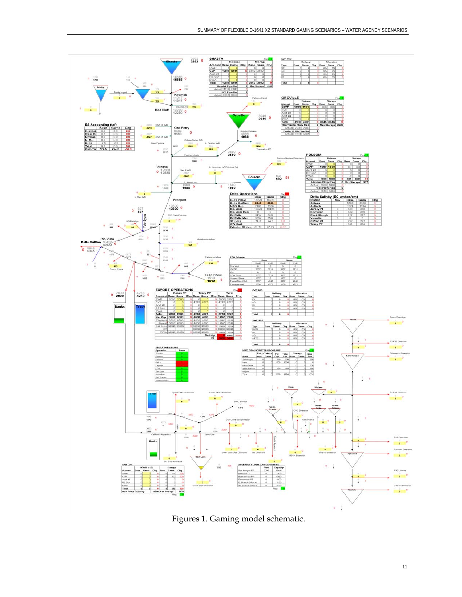

Figures 1. Gaming model schematic.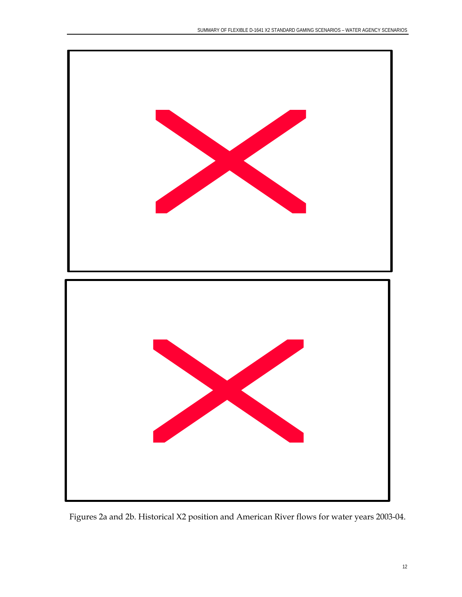

Figures 2a and 2b. Historical X2 position and American River flows for water years 2003-04.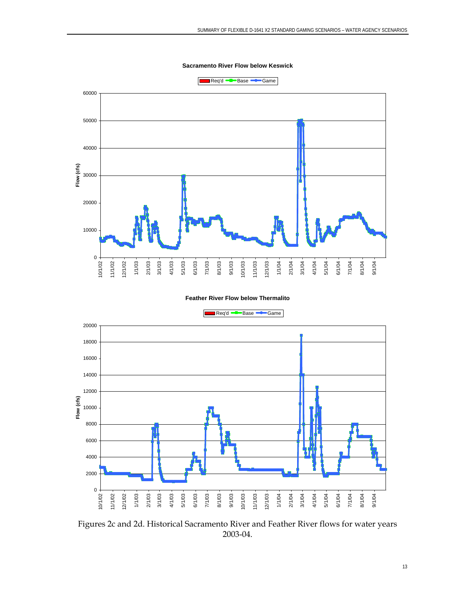**Sacramento River Flow below Keswick**



#### **Feather River Flow below Thermalito**



Figures 2c and 2d. Historical Sacramento River and Feather River flows for water years 2003-04.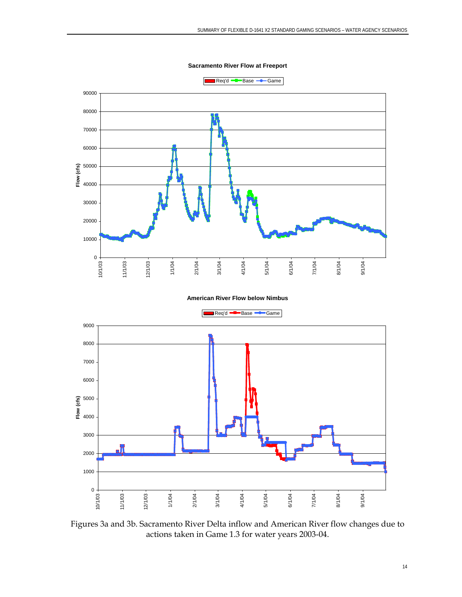**Sacramento River Flow at Freeport**





Figures 3a and 3b. Sacramento River Delta inflow and American River flow changes due to actions taken in Game 1.3 for water years 2003-04.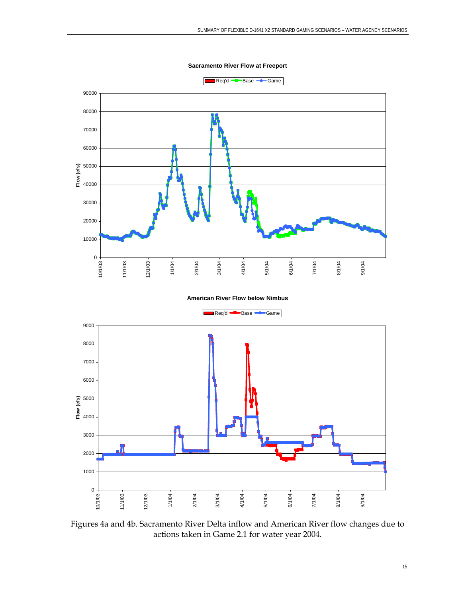**Sacramento River Flow at Freeport**





Figures 4a and 4b. Sacramento River Delta inflow and American River flow changes due to actions taken in Game 2.1 for water year 2004.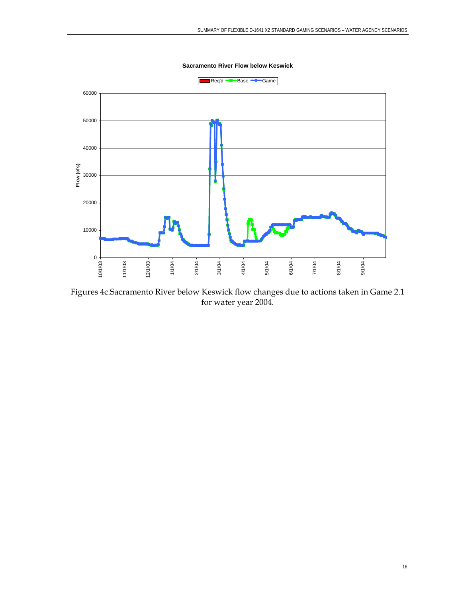

Figures 4c.Sacramento River below Keswick flow changes due to actions taken in Game 2.1 for water year 2004.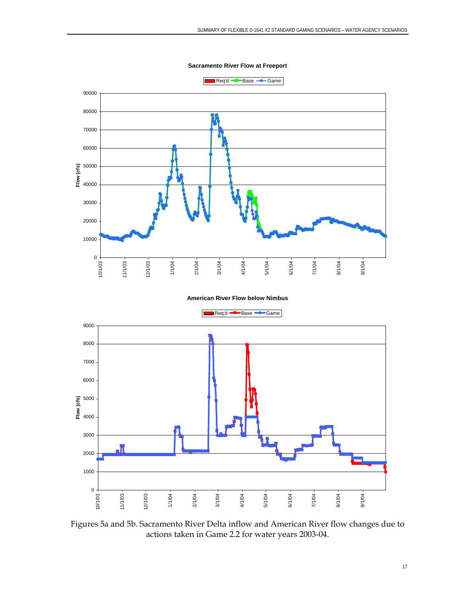**Sacramento River Flow at Freeport**





Figures 5a and 5b. Sacramento River Delta inflow and American River flow changes due to actions taken in Game 2.2 for water years 2003-04.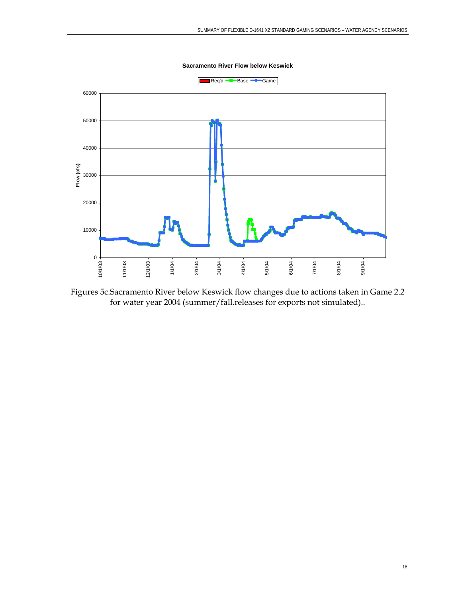

Figures 5c.Sacramento River below Keswick flow changes due to actions taken in Game 2.2 for water year 2004 (summer/fall.releases for exports not simulated)..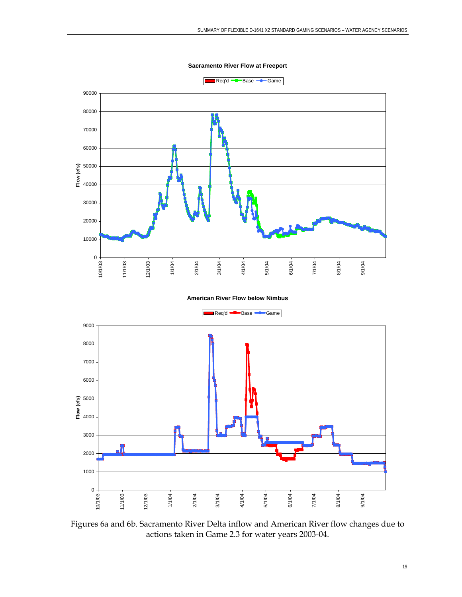**Sacramento River Flow at Freeport**





Figures 6a and 6b. Sacramento River Delta inflow and American River flow changes due to actions taken in Game 2.3 for water years 2003-04.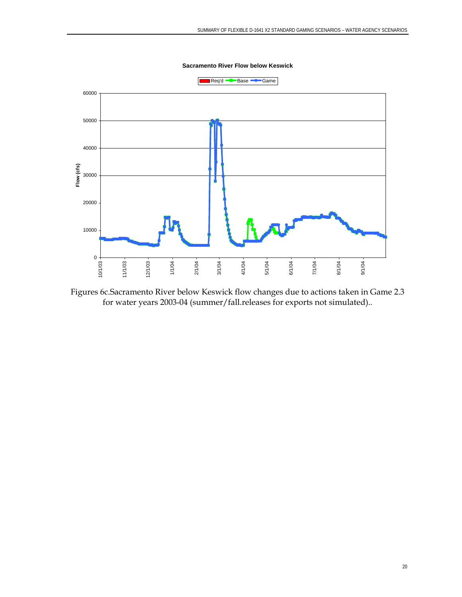

Figures 6c.Sacramento River below Keswick flow changes due to actions taken in Game 2.3 for water years 2003-04 (summer/fall.releases for exports not simulated)..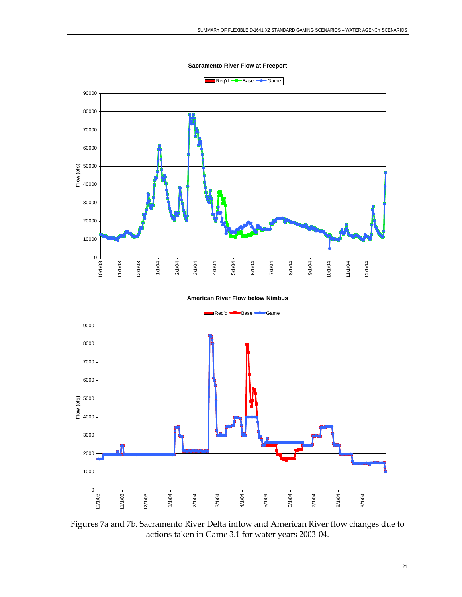**Sacramento River Flow at Freeport**





Figures 7a and 7b. Sacramento River Delta inflow and American River flow changes due to actions taken in Game 3.1 for water years 2003-04.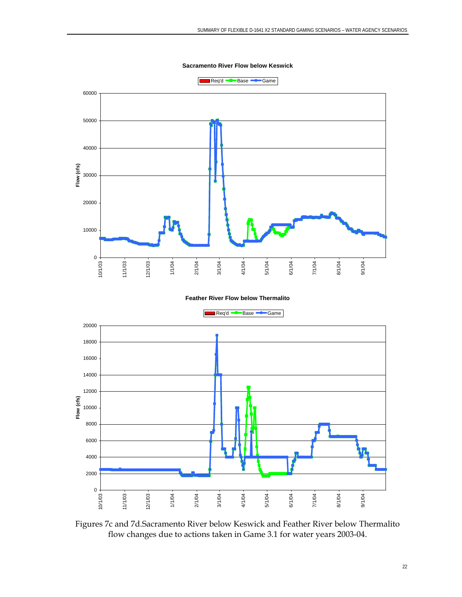

#### **Feather River Flow below Thermalito**



Figures 7c and 7d.Sacramento River below Keswick and Feather River below Thermalito flow changes due to actions taken in Game 3.1 for water years 2003-04.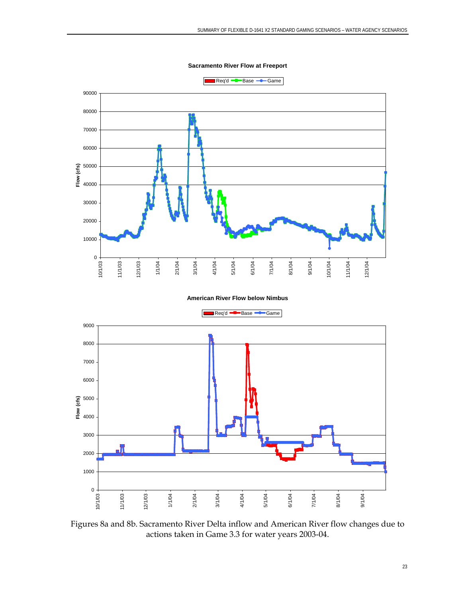**Sacramento River Flow at Freeport**





Figures 8a and 8b. Sacramento River Delta inflow and American River flow changes due to actions taken in Game 3.3 for water years 2003-04.